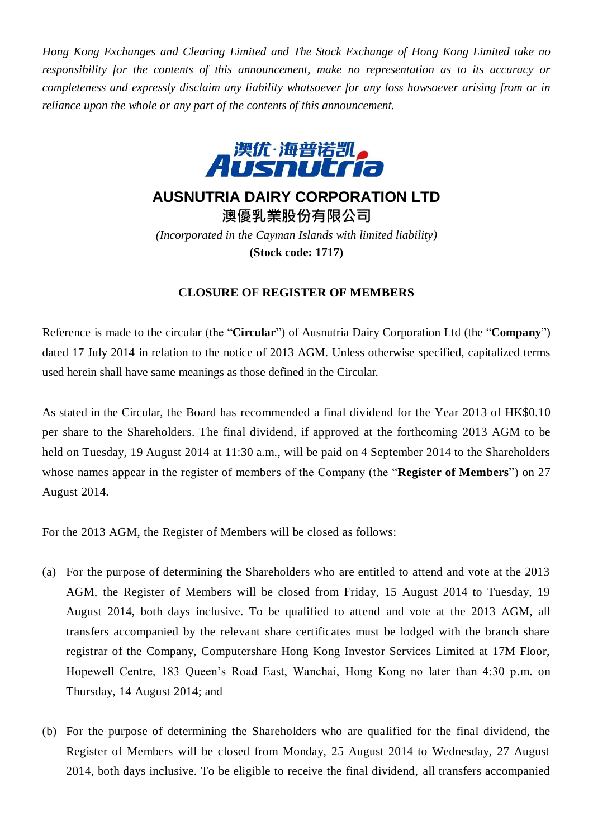*Hong Kong Exchanges and Clearing Limited and The Stock Exchange of Hong Kong Limited take no responsibility for the contents of this announcement, make no representation as to its accuracy or completeness and expressly disclaim any liability whatsoever for any loss howsoever arising from or in reliance upon the whole or any part of the contents of this announcement.*



## **AUSNUTRIA DAIRY CORPORATION LTD**

**澳優乳業股份有限公司** *(Incorporated in the Cayman Islands with limited liability)* **(Stock code: 1717)**

## **CLOSURE OF REGISTER OF MEMBERS**

Reference is made to the circular (the "**Circular**") of Ausnutria Dairy Corporation Ltd (the "**Company**") dated 17 July 2014 in relation to the notice of 2013 AGM. Unless otherwise specified, capitalized terms used herein shall have same meanings as those defined in the Circular.

As stated in the Circular, the Board has recommended a final dividend for the Year 2013 of HK\$0.10 per share to the Shareholders. The final dividend, if approved at the forthcoming 2013 AGM to be held on Tuesday, 19 August 2014 at 11:30 a.m., will be paid on 4 September 2014 to the Shareholders whose names appear in the register of members of the Company (the "**Register of Members**") on 27 August 2014.

For the 2013 AGM, the Register of Members will be closed as follows:

- (a) For the purpose of determining the Shareholders who are entitled to attend and vote at the 2013 AGM, the Register of Members will be closed from Friday, 15 August 2014 to Tuesday, 19 August 2014, both days inclusive. To be qualified to attend and vote at the 2013 AGM, all transfers accompanied by the relevant share certificates must be lodged with the branch share registrar of the Company, Computershare Hong Kong Investor Services Limited at 17M Floor, Hopewell Centre, 183 Queen's Road East, Wanchai, Hong Kong no later than 4:30 p.m. on Thursday, 14 August 2014; and
- (b) For the purpose of determining the Shareholders who are qualified for the final dividend, the Register of Members will be closed from Monday, 25 August 2014 to Wednesday, 27 August 2014, both days inclusive. To be eligible to receive the final dividend, all transfers accompanied